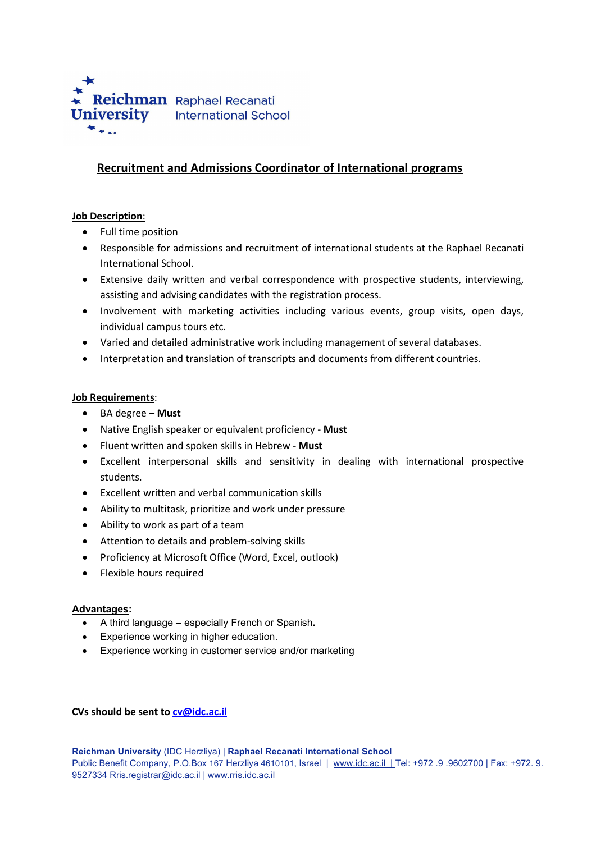

# Recruitment and Admissions Coordinator of International programs

### Job Description:

- Full time position
- Responsible for admissions and recruitment of international students at the Raphael Recanati International School.
- Extensive daily written and verbal correspondence with prospective students, interviewing, assisting and advising candidates with the registration process.
- Involvement with marketing activities including various events, group visits, open days, individual campus tours etc.
- Varied and detailed administrative work including management of several databases.
- Interpretation and translation of transcripts and documents from different countries.

### Job Requirements:

- $\bullet$  BA degree Must
- Native English speaker or equivalent proficiency Must
- Fluent written and spoken skills in Hebrew Must
- Excellent interpersonal skills and sensitivity in dealing with international prospective students.
- Excellent written and verbal communication skills
- Ability to multitask, prioritize and work under pressure
- Ability to work as part of a team
- Attention to details and problem-solving skills
- Proficiency at Microsoft Office (Word, Excel, outlook)
- Flexible hours required

### Advantages:

- A third language especially French or Spanish.
- Experience working in higher education.
- Experience working in customer service and/or marketing

### CVs should be sent to cv@idc.ac.il